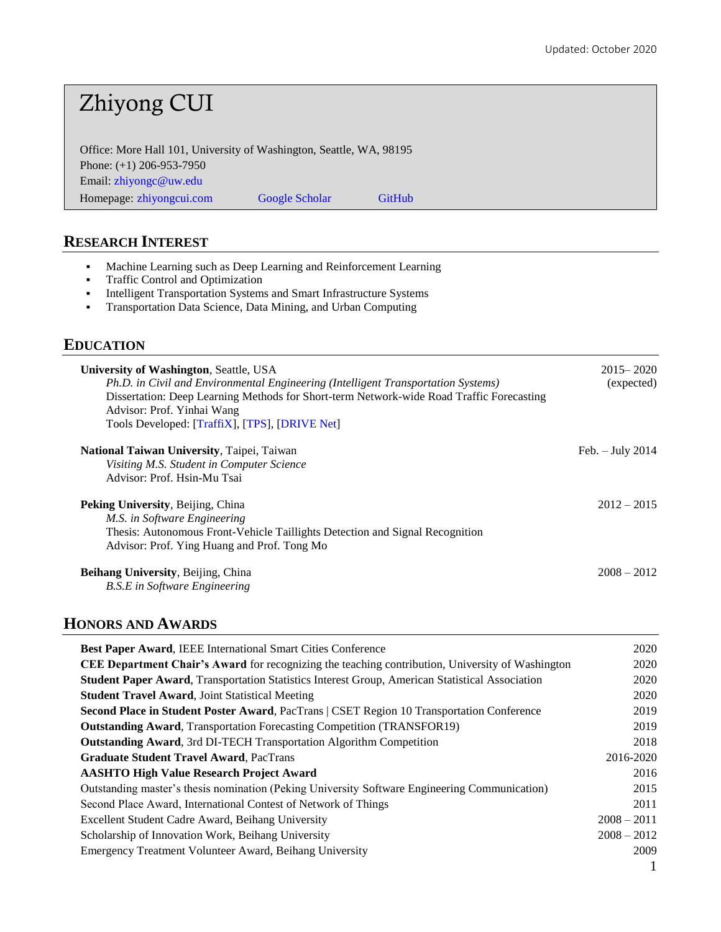# Zhiyong CUI

Office: More Hall 101, University of Washington, Seattle, WA, 98195 Phone: (+1) 206-953-7950 Email: [zhiyongc@uw.edu](mailto:zhiyongc@uw.edu) [Homepage:](https://scholar.google.com/citations?user=jytR7oAAAAAJ&hl=en) [zhiyongcui.com](https://zhiyongcui.com/) [Google Scholar](https://scholar.google.com/citations?user=jytR7oAAAAAJ&hl=en&oi=ao) [GitHub](https://github.com/zhiyongc)

# **RESEARCH INTEREST**

- Machine Learning such as Deep Learning and Reinforcement Learning
- Traffic Control and Optimization
- Intelligent Transportation Systems and Smart Infrastructure Systems
- Transportation Data Science, Data Mining, and Urban Computing

### **EDUCATION**

| University of Washington, Seattle, USA<br>Ph.D. in Civil and Environmental Engineering (Intelligent Transportation Systems)<br>Dissertation: Deep Learning Methods for Short-term Network-wide Road Traffic Forecasting<br>Advisor: Prof. Yinhai Wang<br>Tools Developed: [TraffiX], [TPS], [DRIVE Net] | $2015 - 2020$<br>(expected) |
|---------------------------------------------------------------------------------------------------------------------------------------------------------------------------------------------------------------------------------------------------------------------------------------------------------|-----------------------------|
| <b>National Taiwan University, Taipei, Taiwan</b><br>Visiting M.S. Student in Computer Science<br>Advisor: Prof. Hsin-Mu Tsai                                                                                                                                                                           | Feb. $-$ July 2014          |
| <b>Peking University, Beijing, China</b><br>M.S. in Software Engineering<br>Thesis: Autonomous Front-Vehicle Taillights Detection and Signal Recognition<br>Advisor: Prof. Ying Huang and Prof. Tong Mo                                                                                                 | $2012 - 2015$               |
| <b>Beihang University, Beijing, China</b><br><b>B.S.E</b> in Software Engineering                                                                                                                                                                                                                       | $2008 - 2012$               |

# **HONORS AND AWARDS**

| <b>Best Paper Award, IEEE International Smart Cities Conference</b>                                    | 2020          |
|--------------------------------------------------------------------------------------------------------|---------------|
| CEE Department Chair's Award for recognizing the teaching contribution, University of Washington       | 2020          |
| <b>Student Paper Award, Transportation Statistics Interest Group, American Statistical Association</b> | 2020          |
| <b>Student Travel Award, Joint Statistical Meeting</b>                                                 | 2020          |
| Second Place in Student Poster Award, PacTrans   CSET Region 10 Transportation Conference              | 2019          |
| <b>Outstanding Award, Transportation Forecasting Competition (TRANSFOR19)</b>                          | 2019          |
| <b>Outstanding Award, 3rd DI-TECH Transportation Algorithm Competition</b>                             | 2018          |
| <b>Graduate Student Travel Award, PacTrans</b>                                                         | 2016-2020     |
| <b>AASHTO High Value Research Project Award</b>                                                        | 2016          |
| Outstanding master's thesis nomination (Peking University Software Engineering Communication)          | 2015          |
| Second Place Award, International Contest of Network of Things                                         | 2011          |
| Excellent Student Cadre Award, Beihang University                                                      | $2008 - 2011$ |
| Scholarship of Innovation Work, Beihang University                                                     | $2008 - 2012$ |
| Emergency Treatment Volunteer Award, Beihang University                                                | 2009          |
|                                                                                                        |               |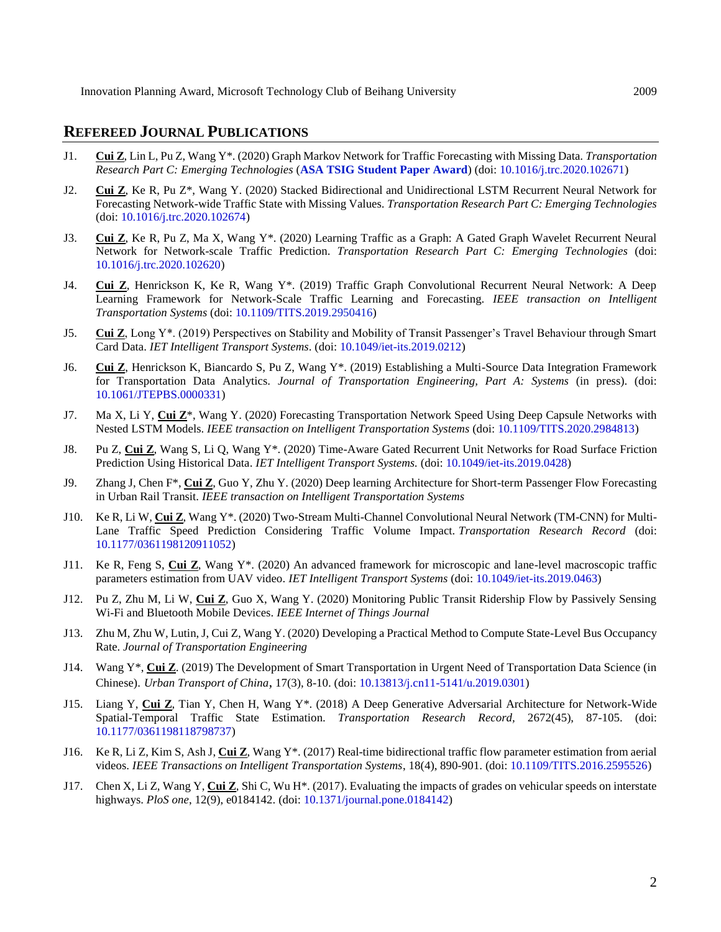# **REFEREED JOURNAL PUBLICATIONS**

- J1. **Cui Z**, Lin L, Pu Z, Wang Y\*. (2020) Graph Markov Network for Traffic Forecasting with Missing Data. *Transportation Research Part C: Emerging Technologies* (**ASA TSIG Student Paper Award**) (doi: [10.1016/j.trc.2020.102671\)](https://doi.org/10.1016/j.trc.2020.102671)
- J2. **Cui Z**, Ke R, Pu Z\*, Wang Y. (2020) Stacked Bidirectional and Unidirectional LSTM Recurrent Neural Network for Forecasting Network-wide Traffic State with Missing Values. *Transportation Research Part C: Emerging Technologies* (doi[: 10.1016/j.trc.2020.102674\)](https://doi.org/10.1016/j.trc.2020.102674)
- J3. **Cui Z**, Ke R, Pu Z, Ma X, Wang Y\*. (2020) Learning Traffic as a Graph: A Gated Graph Wavelet Recurrent Neural Network for Network-scale Traffic Prediction. *Transportation Research Part C: Emerging Technologies* (doi: [10.1016/j.trc.2020.102620\)](https://doi.org/10.1016/j.trc.2020.102620)
- J4. **Cui Z**, Henrickson K, Ke R, Wang Y\*. (2019) Traffic Graph Convolutional Recurrent Neural Network: A Deep Learning Framework for Network-Scale Traffic Learning and Forecasting. *IEEE transaction on Intelligent Transportation Systems* (doi: [10.1109/TITS.2019.2950416\)](https://doi.org/10.1109/TITS.2019.2950416)
- J5. **Cui Z**, Long Y\*. (2019) Perspectives on Stability and Mobility of Transit Passenger's Travel Behaviour through Smart Card Data. *IET Intelligent Transport Systems*. (doi: [10.1049/iet-its.2019.0212\)](https://doi.org/10.1049/iet-its.2019.0212)
- J6. **Cui Z**, Henrickson K, Biancardo S, Pu Z, Wang Y\*. (2019) Establishing a Multi-Source Data Integration Framework for Transportation Data Analytics. *Journal of Transportation Engineering, Part A: Systems* (in press). (doi: [10.1061/JTEPBS.0000331\)](https://doi.org/10.1061/JTEPBS.0000331)
- J7. Ma X, Li Y, **Cui Z**\*, Wang Y. (2020) Forecasting Transportation Network Speed Using Deep Capsule Networks with Nested LSTM Models. *IEEE transaction on Intelligent Transportation Systems* (doi[: 10.1109/TITS.2020.2984813\)](https://ieeexplore.ieee.org/document/9069477)
- J8. Pu Z, **Cui Z**, Wang S, Li Q, Wang Y\*. (2020) Time-Aware Gated Recurrent Unit Networks for Road Surface Friction Prediction Using Historical Data. *IET Intelligent Transport Systems.* (doi: [10.1049/iet-its.2019.0428\)](https://ieeexplore.ieee.org/document/9049501)
- J9. Zhang J, Chen F\*, **Cui Z**, Guo Y, Zhu Y. (2020) Deep learning Architecture for Short-term Passenger Flow Forecasting in Urban Rail Transit. *IEEE transaction on Intelligent Transportation Systems*
- J10. Ke R, Li W, **Cui Z**, Wang Y\*. (2020) Two-Stream Multi-Channel Convolutional Neural Network (TM-CNN) for Multi-Lane Traffic Speed Prediction Considering Traffic Volume Impact. *Transportation Research Record* (doi: [10.1177/0361198120911052\)](https://doi.org/10.1177%2F0361198120911052)
- J11. Ke R, Feng S, **Cui Z**, Wang Y\*. (2020) An advanced framework for microscopic and lane-level macroscopic traffic parameters estimation from UAV video. *IET Intelligent Transport Systems* (doi: [10.1049/iet-its.2019.0463\)](https://digital-library.theiet.org/content/journals/10.1049/iet-its.2019.0463)
- J12. Pu Z, Zhu M, Li W, **Cui Z**, Guo X, Wang Y. (2020) Monitoring Public Transit Ridership Flow by Passively Sensing Wi-Fi and Bluetooth Mobile Devices. *IEEE Internet of Things Journal*
- J13. Zhu M, Zhu W, Lutin, J, Cui Z, Wang Y. (2020) Developing a Practical Method to Compute State-Level Bus Occupancy Rate. *Journal of Transportation Engineering*
- J14. Wang Y\*, **Cui Z**. (2019) The Development of Smart Transportation in Urgent Need of Transportation Data Science (in Chinese). *Urban Transport of China,* 17(3), 8-10. (doi: [10.13813/j.cn11-5141/u.2019.0301\)](https://doi.org/10.13813/j.cn11-5141/u.2019.0301)
- J15. Liang Y, **Cui Z**, Tian Y, Chen H, Wang Y\*. (2018) A Deep Generative Adversarial Architecture for Network-Wide Spatial-Temporal Traffic State Estimation. *Transportation Research Record,* 2672(45), 87-105. (doi: [10.1177/0361198118798737\)](https://doi.org/10.1177/0361198118798737)
- J16. Ke R, Li Z, Kim S, Ash J, **Cui Z**, Wang Y\*. (2017) Real-time bidirectional traffic flow parameter estimation from aerial videos. *IEEE Transactions on Intelligent Transportation Systems*, 18(4), 890-901. (doi[: 10.1109/TITS.2016.2595526\)](https://doi.org/10.1109/TITS.2016.2595526)
- J17. Chen X, Li Z, Wang Y, **Cui Z**, Shi C, Wu H\*. (2017). Evaluating the impacts of grades on vehicular speeds on interstate highways. *PloS one*, 12(9), e0184142. (doi: [10.1371/journal.pone.0184142\)](https://doi.org/10.1371/journal.pone.0184142)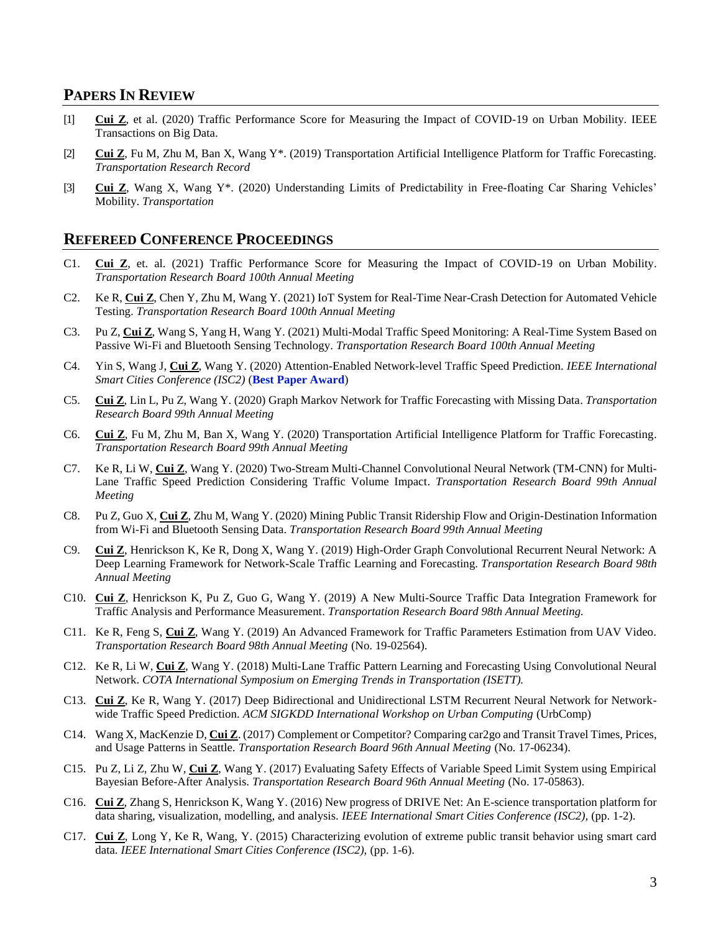### **PAPERS IN REVIEW**

- [1] **Cui Z**, et al. (2020) Traffic Performance Score for Measuring the Impact of COVID-19 on Urban Mobility. IEEE Transactions on Big Data.
- [2] **Cui Z**, Fu M, Zhu M, Ban X, Wang Y\*. (2019) Transportation Artificial Intelligence Platform for Traffic Forecasting. *Transportation Research Record*
- [3] **Cui Z**, Wang X, Wang Y\*. (2020) Understanding Limits of Predictability in Free-floating Car Sharing Vehicles' Mobility. *Transportation*

### **REFEREED CONFERENCE PROCEEDINGS**

- C1. **Cui Z**, et. al. (2021) Traffic Performance Score for Measuring the Impact of COVID-19 on Urban Mobility. *Transportation Research Board 100th Annual Meeting*
- C2. Ke R, **Cui Z**, Chen Y, Zhu M, Wang Y. (2021) IoT System for Real-Time Near-Crash Detection for Automated Vehicle Testing. *Transportation Research Board 100th Annual Meeting*
- C3. Pu Z, **Cui Z**, Wang S, Yang H, Wang Y. (2021) Multi-Modal Traffic Speed Monitoring: A Real-Time System Based on Passive Wi-Fi and Bluetooth Sensing Technology. *Transportation Research Board 100th Annual Meeting*
- C4. Yin S, Wang J, **Cui Z**, Wang Y. (2020) Attention-Enabled Network-level Traffic Speed Prediction. *IEEE International Smart Cities Conference (ISC2)* (**Best Paper Award**)
- C5. **Cui Z**, Lin L, Pu Z, Wang Y. (2020) Graph Markov Network for Traffic Forecasting with Missing Data. *Transportation Research Board 99th Annual Meeting*
- C6. **Cui Z**, Fu M, Zhu M, Ban X, Wang Y. (2020) Transportation Artificial Intelligence Platform for Traffic Forecasting. *Transportation Research Board 99th Annual Meeting*
- C7. Ke R, Li W, **Cui Z**, Wang Y. (2020) Two-Stream Multi-Channel Convolutional Neural Network (TM-CNN) for Multi-Lane Traffic Speed Prediction Considering Traffic Volume Impact. *Transportation Research Board 99th Annual Meeting*
- C8. Pu Z, Guo X, **Cui Z**, Zhu M, Wang Y. (2020) Mining Public Transit Ridership Flow and Origin-Destination Information from Wi-Fi and Bluetooth Sensing Data. *Transportation Research Board 99th Annual Meeting*
- C9. **Cui Z**, Henrickson K, Ke R, Dong X, Wang Y. (2019) High-Order Graph Convolutional Recurrent Neural Network: A Deep Learning Framework for Network-Scale Traffic Learning and Forecasting. *Transportation Research Board 98th Annual Meeting*
- C10. **Cui Z**, Henrickson K, Pu Z, Guo G, Wang Y. (2019) A New Multi-Source Traffic Data Integration Framework for Traffic Analysis and Performance Measurement. *Transportation Research Board 98th Annual Meeting.*
- C11. Ke R, Feng S, **Cui Z**, Wang Y. (2019) An Advanced Framework for Traffic Parameters Estimation from UAV Video. *Transportation Research Board 98th Annual Meeting* (No. 19-02564).
- C12. Ke R, Li W, **Cui Z**, Wang Y. (2018) Multi-Lane Traffic Pattern Learning and Forecasting Using Convolutional Neural Network. *COTA International Symposium on Emerging Trends in Transportation (ISETT).*
- C13. **Cui Z**, Ke R, Wang Y. (2017) Deep Bidirectional and Unidirectional LSTM Recurrent Neural Network for Networkwide Traffic Speed Prediction. *ACM SIGKDD International Workshop on Urban Computing* (UrbComp)
- C14. Wang X, MacKenzie D, **Cui Z**. (2017) Complement or Competitor? Comparing car2go and Transit Travel Times, Prices, and Usage Patterns in Seattle. *Transportation Research Board 96th Annual Meeting* (No. 17-06234).
- C15. Pu Z, Li Z, Zhu W, **Cui Z**, Wang Y. (2017) Evaluating Safety Effects of Variable Speed Limit System using Empirical Bayesian Before-After Analysis. *Transportation Research Board 96th Annual Meeting* (No. 17-05863).
- C16. **Cui Z**, Zhang S, Henrickson K, Wang Y. (2016) New progress of DRIVE Net: An E-science transportation platform for data sharing, visualization, modelling, and analysis. *IEEE International Smart Cities Conference (ISC2),* (pp. 1-2).
- C17. **Cui Z**, Long Y, Ke R, Wang, Y. (2015) Characterizing evolution of extreme public transit behavior using smart card data. *IEEE International Smart Cities Conference (ISC2),* (pp. 1-6).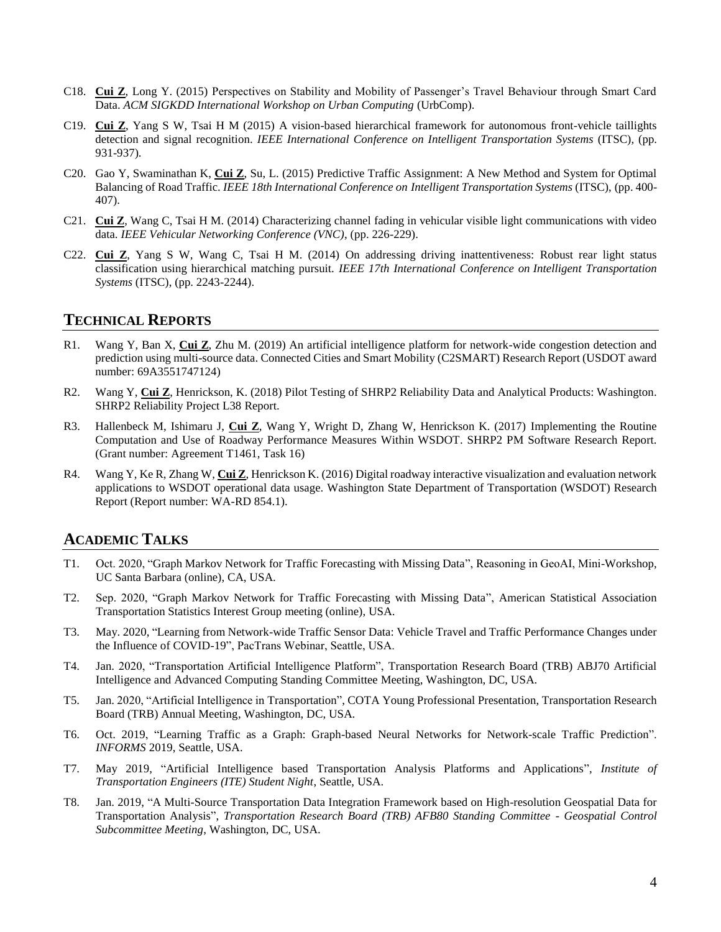- C18. **Cui Z**, Long Y. (2015) Perspectives on Stability and Mobility of Passenger's Travel Behaviour through Smart Card Data. *ACM SIGKDD International Workshop on Urban Computing* (UrbComp).
- C19. **Cui Z**, Yang S W, Tsai H M (2015) A vision-based hierarchical framework for autonomous front-vehicle taillights detection and signal recognition. *IEEE International Conference on Intelligent Transportation Systems* (ITSC)*,* (pp. 931-937).
- C20. Gao Y, Swaminathan K, **Cui Z**, Su, L. (2015) Predictive Traffic Assignment: A New Method and System for Optimal Balancing of Road Traffic. *IEEE 18th International Conference on Intelligent Transportation Systems* (ITSC), (pp. 400- 407).
- C21. **Cui Z**, Wang C, Tsai H M. (2014) Characterizing channel fading in vehicular visible light communications with video data. *IEEE Vehicular Networking Conference (VNC)*, (pp. 226-229).
- C22. **Cui Z**, Yang S W, Wang C, Tsai H M. (2014) On addressing driving inattentiveness: Robust rear light status classification using hierarchical matching pursuit. *IEEE 17th International Conference on Intelligent Transportation Systems* (ITSC), (pp. 2243-2244).

# **TECHNICAL REPORTS**

- R1. Wang Y, Ban X, **Cui Z**, Zhu M. (2019) An artificial intelligence platform for network-wide congestion detection and prediction using multi-source data. Connected Cities and Smart Mobility (C2SMART) Research Report (USDOT award number: 69A3551747124)
- R2. Wang Y, **Cui Z**, Henrickson, K. (2018) Pilot Testing of SHRP2 Reliability Data and Analytical Products: Washington. SHRP2 Reliability Project L38 Report.
- R3. Hallenbeck M, Ishimaru J, **Cui Z**, Wang Y, Wright D, Zhang W, Henrickson K. (2017) Implementing the Routine Computation and Use of Roadway Performance Measures Within WSDOT. SHRP2 PM Software Research Report. (Grant number: Agreement T1461, Task 16)
- R4. Wang Y, Ke R, Zhang W, **Cui Z**, Henrickson K. (2016) Digital roadway interactive visualization and evaluation network applications to WSDOT operational data usage. Washington State Department of Transportation (WSDOT) Research Report (Report number: WA-RD 854.1).

# **ACADEMIC TALKS**

- T1. Oct. 2020, "Graph Markov Network for Traffic Forecasting with Missing Data", Reasoning in GeoAI, Mini-Workshop, UC Santa Barbara (online), CA, USA.
- T2. Sep. 2020, "Graph Markov Network for Traffic Forecasting with Missing Data", American Statistical Association Transportation Statistics Interest Group meeting (online), USA.
- T3. May. 2020, "Learning from Network-wide Traffic Sensor Data: Vehicle Travel and Traffic Performance Changes under the Influence of COVID-19", PacTrans Webinar, Seattle, USA.
- T4. Jan. 2020, "Transportation Artificial Intelligence Platform", Transportation Research Board (TRB) ABJ70 Artificial Intelligence and Advanced Computing Standing Committee Meeting, Washington, DC, USA.
- T5. Jan. 2020, "Artificial Intelligence in Transportation", COTA Young Professional Presentation, Transportation Research Board (TRB) Annual Meeting, Washington, DC, USA.
- T6. Oct. 2019, "Learning Traffic as a Graph: Graph-based Neural Networks for Network-scale Traffic Prediction". *INFORMS* 2019, Seattle, USA.
- T7. May 2019, "Artificial Intelligence based Transportation Analysis Platforms and Applications", *Institute of Transportation Engineers (ITE) Student Night*, Seattle, USA.
- T8. Jan. 2019, "A Multi-Source Transportation Data Integration Framework based on High-resolution Geospatial Data for Transportation Analysis", *Transportation Research Board (TRB) AFB80 Standing Committee - Geospatial Control Subcommittee Meeting*, Washington, DC, USA.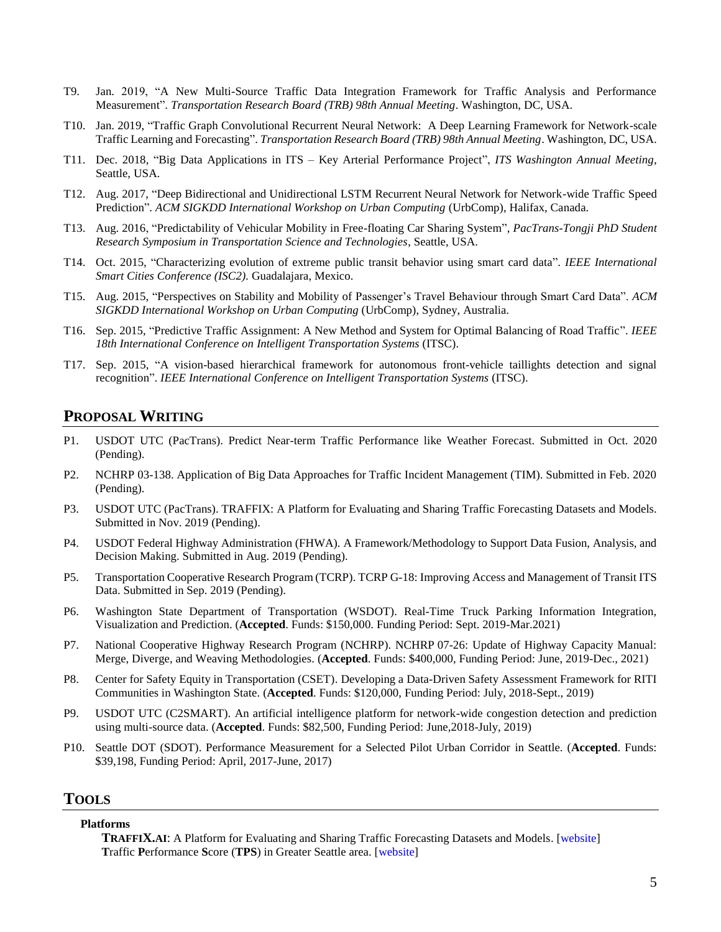- T9. Jan. 2019, "A New Multi-Source Traffic Data Integration Framework for Traffic Analysis and Performance Measurement". *Transportation Research Board (TRB) 98th Annual Meeting*. Washington, DC, USA.
- T10. Jan. 2019, "Traffic Graph Convolutional Recurrent Neural Network: A Deep Learning Framework for Network-scale Traffic Learning and Forecasting". *Transportation Research Board (TRB) 98th Annual Meeting*. Washington, DC, USA.
- T11. Dec. 2018, "Big Data Applications in ITS Key Arterial Performance Project", *ITS Washington Annual Meeting*, Seattle, USA.
- T12. Aug. 2017, "Deep Bidirectional and Unidirectional LSTM Recurrent Neural Network for Network-wide Traffic Speed Prediction". *ACM SIGKDD International Workshop on Urban Computing* (UrbComp), Halifax, Canada.
- T13. Aug. 2016, "Predictability of Vehicular Mobility in Free-floating Car Sharing System", *PacTrans-Tongji PhD Student Research Symposium in Transportation Science and Technologies*, Seattle, USA.
- T14. Oct. 2015*,* "Characterizing evolution of extreme public transit behavior using smart card data". *IEEE International Smart Cities Conference (ISC2).* Guadalajara, Mexico.
- T15. Aug. 2015, "Perspectives on Stability and Mobility of Passenger's Travel Behaviour through Smart Card Data". *ACM SIGKDD International Workshop on Urban Computing* (UrbComp), Sydney, Australia.
- T16. Sep. 2015, "Predictive Traffic Assignment: A New Method and System for Optimal Balancing of Road Traffic". *IEEE 18th International Conference on Intelligent Transportation Systems* (ITSC).
- T17. Sep. 2015, "A vision-based hierarchical framework for autonomous front-vehicle taillights detection and signal recognition". *IEEE International Conference on Intelligent Transportation Systems* (ITSC).

### **PROPOSAL WRITING**

- P1. USDOT UTC (PacTrans). Predict Near-term Traffic Performance like Weather Forecast. Submitted in Oct. 2020 (Pending).
- P2. NCHRP 03-138. Application of Big Data Approaches for Traffic Incident Management (TIM). Submitted in Feb. 2020 (Pending).
- P3. USDOT UTC (PacTrans). TRAFFIX: A Platform for Evaluating and Sharing Traffic Forecasting Datasets and Models. Submitted in Nov. 2019 (Pending).
- P4. USDOT Federal Highway Administration (FHWA). A Framework/Methodology to Support Data Fusion, Analysis, and Decision Making. Submitted in Aug. 2019 (Pending).
- P5. Transportation Cooperative Research Program (TCRP). TCRP G-18: Improving Access and Management of Transit ITS Data. Submitted in Sep. 2019 (Pending).
- P6. Washington State Department of Transportation (WSDOT). Real-Time Truck Parking Information Integration, Visualization and Prediction. (**Accepted**. Funds: \$150,000. Funding Period: Sept. 2019-Mar.2021)
- P7. National Cooperative Highway Research Program (NCHRP). NCHRP 07-26: Update of Highway Capacity Manual: Merge, Diverge, and Weaving Methodologies. (**Accepted**. Funds: \$400,000, Funding Period: June, 2019-Dec., 2021)
- P8. Center for Safety Equity in Transportation (CSET). Developing a Data-Driven Safety Assessment Framework for RITI Communities in Washington State. (**Accepted**. Funds: \$120,000, Funding Period: July, 2018-Sept., 2019)
- P9. USDOT UTC (C2SMART). An artificial intelligence platform for network-wide congestion detection and prediction using multi-source data. (**Accepted**. Funds: \$82,500, Funding Period: June,2018-July, 2019)
- P10. Seattle DOT (SDOT). Performance Measurement for a Selected Pilot Urban Corridor in Seattle. (**Accepted**. Funds: \$39,198, Funding Period: April, 2017-June, 2017)

### **TOOLS**

#### **Platforms**

**TRAFFIX.AI**: A Platform for Evaluating and Sharing Traffic Forecasting Datasets and Models. [\[website\]](https://zhiyongcui.com/TRAFFIX_Web/) **T**raffic **P**erformance **S**core (**TPS**) in Greater Seattle area. [\[website\]](http://tps.uwstarlab.org/)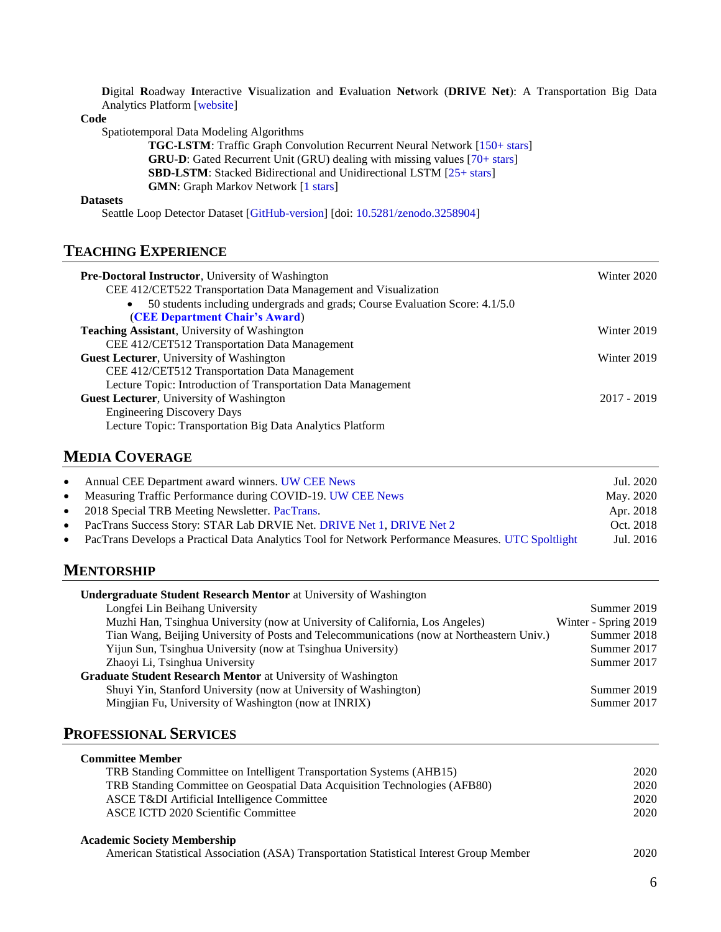**D**igital **R**oadway **I**nteractive **V**isualization and **E**valuation **Net**work (**DRIVE Net**): A Transportation Big Data Analytics Platform [\[website\]](http://www.uwdrive.net/)

**Code**

Spatiotemporal Data Modeling Algorithms

**TGC-LSTM**: Traffic Graph Convolution Recurrent Neural Network [\[150+ stars\]](https://github.com/zhiyongc/Graph_Convolutional_LSTM) **GRU-D**: Gated Recurrent Unit (GRU) dealing with missing values [\[70+ stars\]](https://github.com/zhiyongc/GRU-D) **SBD-LSTM**: Stacked Bidirectional and Unidirectional LSTM [\[25+ stars\]](https://github.com/zhiyongc/Stacked_Bidirectional_Unidirectional_LSTM) **GMN**: Graph Markov Network [\[1 stars\]](https://github.com/zhiyongc/GraphMarkovNetwork)

#### **Datasets**

Seattle Loop Detector Dataset [\[GitHub-version\]](https://github.com/zhiyongc/Seattle-Loop-Data) [doi[: 10.5281/zenodo.3258904\]](https://zenodo.org/record/3258904#.XdiOCVdKi70)

# **TEACHING EXPERIENCE**

| <b>Pre-Doctoral Instructor, University of Washington</b>                                  | Winter 2020   |
|-------------------------------------------------------------------------------------------|---------------|
| CEE 412/CET522 Transportation Data Management and Visualization                           |               |
| 50 students including undergrads and grads; Course Evaluation Score: 4.1/5.0<br>$\bullet$ |               |
| (CEE Department Chair's Award)                                                            |               |
| <b>Teaching Assistant</b> , University of Washington                                      | Winter 2019   |
| CEE 412/CET512 Transportation Data Management                                             |               |
| Guest Lecturer, University of Washington                                                  | Winter 2019   |
| CEE 412/CET512 Transportation Data Management                                             |               |
| Lecture Topic: Introduction of Transportation Data Management                             |               |
| Guest Lecturer, University of Washington                                                  | $2017 - 2019$ |
| <b>Engineering Discovery Days</b>                                                         |               |
| Lecture Topic: Transportation Big Data Analytics Platform                                 |               |

# **MEDIA COVERAGE**

| $\bullet$ | Annual CEE Department award winners. UW CEE News                                                   | Jul. 2020 |
|-----------|----------------------------------------------------------------------------------------------------|-----------|
| $\bullet$ | Measuring Traffic Performance during COVID-19. UW CEE News                                         | May. 2020 |
| $\bullet$ | 2018 Special TRB Meeting Newsletter. PacTrans.                                                     | Apr. 2018 |
| $\bullet$ | PacTrans Success Story: STAR Lab DRVIE Net. DRIVE Net 1, DRIVE Net 2                               | Oct. 2018 |
| $\bullet$ | PacTrans Develops a Practical Data Analytics Tool for Network Performance Measures. UTC Spoltlight | Jul. 2016 |

# **MENTORSHIP**

| <b>Undergraduate Student Research Mentor</b> at University of Washington                  |                      |
|-------------------------------------------------------------------------------------------|----------------------|
| Longfei Lin Beihang University                                                            | Summer 2019          |
| Muzhi Han, Tsinghua University (now at University of California, Los Angeles)             | Winter - Spring 2019 |
| Tian Wang, Beijing University of Posts and Telecommunications (now at Northeastern Univ.) | Summer 2018          |
| Yijun Sun, Tsinghua University (now at Tsinghua University)                               | Summer 2017          |
| Zhaoyi Li, Tsinghua University                                                            | Summer 2017          |
| <b>Graduate Student Research Mentor</b> at University of Washington                       |                      |
| Shuyi Yin, Stanford University (now at University of Washington)                          | Summer 2019          |
| Mingjian Fu, University of Washington (now at INRIX)                                      | Summer 2017          |

### **PROFESSIONAL SERVICES**

| <b>Committee Member</b>                                                                                                                                                   |               |
|---------------------------------------------------------------------------------------------------------------------------------------------------------------------------|---------------|
| TRB Standing Committee on Intelligent Transportation Systems (AHB15)                                                                                                      | 2020          |
| TRB Standing Committee on Geospatial Data Acquisition Technologies (AFB80)                                                                                                | 2020          |
| ASCE T&DI Artificial Intelligence Committee                                                                                                                               | 2020          |
| ASCE ICTD 2020 Scientific Committee                                                                                                                                       | 2020          |
| <b>Academic Society Membership</b><br>$\mathbf{A}$ and $\mathbf{A}$ and $\mathbf{A}$ and $\mathbf{A}$ and $\mathbf{A}$ and $\mathbf{A}$ and $\mathbf{A}$ and $\mathbf{A}$ | $\sim$ $\sim$ |

American Statistical Association (ASA) Transportation Statistical Interest Group Member 2020